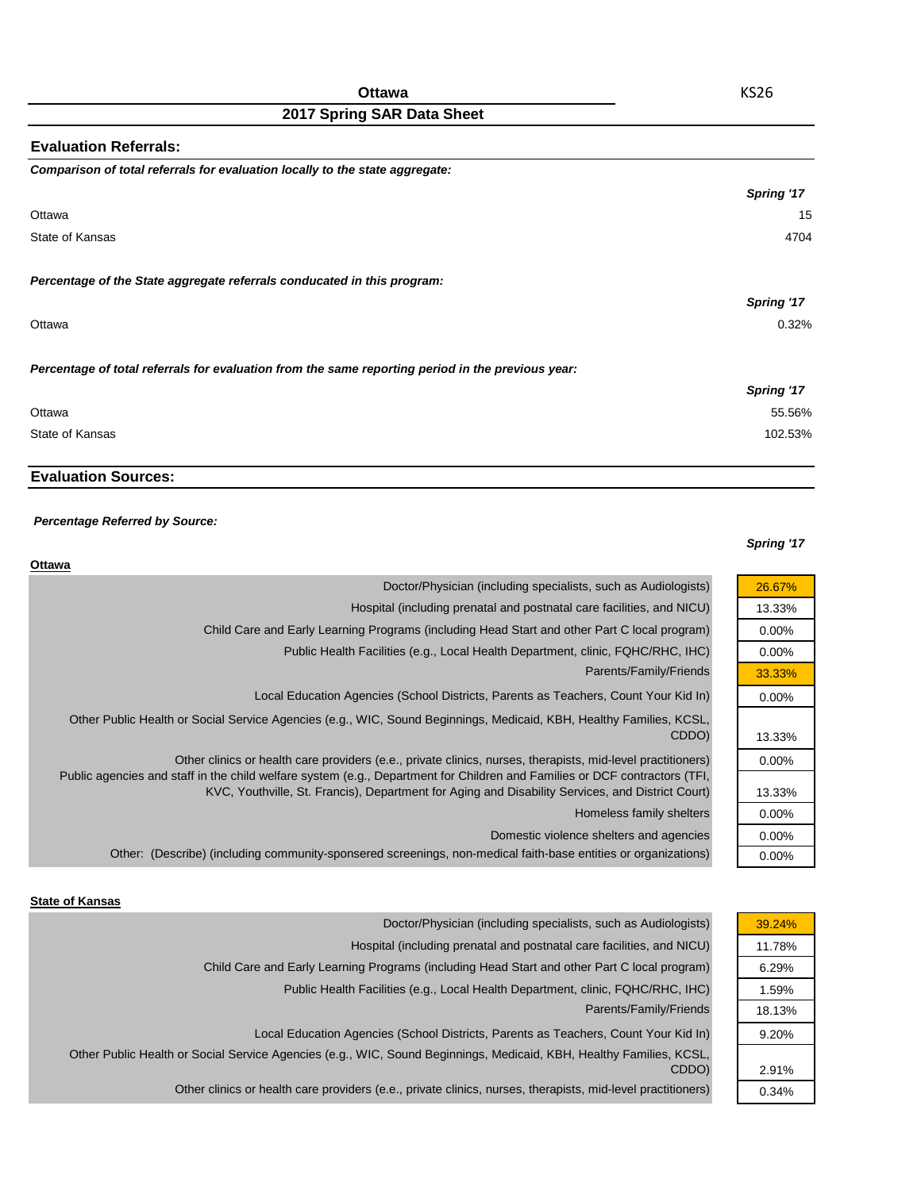| <b>Evaluation Referrals:</b>                                                                      |            |
|---------------------------------------------------------------------------------------------------|------------|
| Comparison of total referrals for evaluation locally to the state aggregate:                      |            |
|                                                                                                   | Spring '17 |
| Ottawa                                                                                            | 15         |
| State of Kansas                                                                                   | 4704       |
| Percentage of the State aggregate referrals conducated in this program:                           |            |
|                                                                                                   | Spring '17 |
| Ottawa                                                                                            | 0.32%      |
| Percentage of total referrals for evaluation from the same reporting period in the previous year: |            |
|                                                                                                   | Spring '17 |
| Ottawa                                                                                            | 55.56%     |
| State of Kansas                                                                                   | 102.53%    |

## **Evaluation Sources:**

#### *Percentage Referred by Source:*

#### *Spring '17*

| Doctor/Physician (including specialists, such as Audiologists)<br>26.67%<br>Hospital (including prenatal and postnatal care facilities, and NICU)<br>13.33%<br>Child Care and Early Learning Programs (including Head Start and other Part C local program)<br>$0.00\%$<br>Public Health Facilities (e.g., Local Health Department, clinic, FQHC/RHC, IHC)<br>$0.00\%$<br>Parents/Family/Friends<br>33.33%<br>Local Education Agencies (School Districts, Parents as Teachers, Count Your Kid In)<br>$0.00\%$<br>Other Public Health or Social Service Agencies (e.g., WIC, Sound Beginnings, Medicaid, KBH, Healthy Families, KCSL,<br>CDDO)<br>13.33%<br>Other clinics or health care providers (e.e., private clinics, nurses, therapists, mid-level practitioners)<br>$0.00\%$<br>Public agencies and staff in the child welfare system (e.g., Department for Children and Families or DCF contractors (TFI,<br>KVC, Youthville, St. Francis), Department for Aging and Disability Services, and District Court)<br>13.33%<br>Homeless family shelters<br>$0.00\%$<br>Domestic violence shelters and agencies<br>$0.00\%$<br>Other: (Describe) (including community-sponsered screenings, non-medical faith-base entities or organizations)<br>$0.00\%$ | <b>Ottawa</b> |  |
|-------------------------------------------------------------------------------------------------------------------------------------------------------------------------------------------------------------------------------------------------------------------------------------------------------------------------------------------------------------------------------------------------------------------------------------------------------------------------------------------------------------------------------------------------------------------------------------------------------------------------------------------------------------------------------------------------------------------------------------------------------------------------------------------------------------------------------------------------------------------------------------------------------------------------------------------------------------------------------------------------------------------------------------------------------------------------------------------------------------------------------------------------------------------------------------------------------------------------------------------------------------|---------------|--|
|                                                                                                                                                                                                                                                                                                                                                                                                                                                                                                                                                                                                                                                                                                                                                                                                                                                                                                                                                                                                                                                                                                                                                                                                                                                             |               |  |
|                                                                                                                                                                                                                                                                                                                                                                                                                                                                                                                                                                                                                                                                                                                                                                                                                                                                                                                                                                                                                                                                                                                                                                                                                                                             |               |  |
|                                                                                                                                                                                                                                                                                                                                                                                                                                                                                                                                                                                                                                                                                                                                                                                                                                                                                                                                                                                                                                                                                                                                                                                                                                                             |               |  |
|                                                                                                                                                                                                                                                                                                                                                                                                                                                                                                                                                                                                                                                                                                                                                                                                                                                                                                                                                                                                                                                                                                                                                                                                                                                             |               |  |
|                                                                                                                                                                                                                                                                                                                                                                                                                                                                                                                                                                                                                                                                                                                                                                                                                                                                                                                                                                                                                                                                                                                                                                                                                                                             |               |  |
|                                                                                                                                                                                                                                                                                                                                                                                                                                                                                                                                                                                                                                                                                                                                                                                                                                                                                                                                                                                                                                                                                                                                                                                                                                                             |               |  |
|                                                                                                                                                                                                                                                                                                                                                                                                                                                                                                                                                                                                                                                                                                                                                                                                                                                                                                                                                                                                                                                                                                                                                                                                                                                             |               |  |
|                                                                                                                                                                                                                                                                                                                                                                                                                                                                                                                                                                                                                                                                                                                                                                                                                                                                                                                                                                                                                                                                                                                                                                                                                                                             |               |  |
|                                                                                                                                                                                                                                                                                                                                                                                                                                                                                                                                                                                                                                                                                                                                                                                                                                                                                                                                                                                                                                                                                                                                                                                                                                                             |               |  |
|                                                                                                                                                                                                                                                                                                                                                                                                                                                                                                                                                                                                                                                                                                                                                                                                                                                                                                                                                                                                                                                                                                                                                                                                                                                             |               |  |
|                                                                                                                                                                                                                                                                                                                                                                                                                                                                                                                                                                                                                                                                                                                                                                                                                                                                                                                                                                                                                                                                                                                                                                                                                                                             |               |  |
|                                                                                                                                                                                                                                                                                                                                                                                                                                                                                                                                                                                                                                                                                                                                                                                                                                                                                                                                                                                                                                                                                                                                                                                                                                                             |               |  |

#### **State of Kansas**

| 39.24% | Doctor/Physician (including specialists, such as Audiologists)                                                      |
|--------|---------------------------------------------------------------------------------------------------------------------|
| 11.78% | Hospital (including prenatal and postnatal care facilities, and NICU)                                               |
| 6.29%  | Child Care and Early Learning Programs (including Head Start and other Part C local program)                        |
| 1.59%  | Public Health Facilities (e.g., Local Health Department, clinic, FQHC/RHC, IHC)                                     |
| 18.13% | Parents/Family/Friends                                                                                              |
| 9.20%  | Local Education Agencies (School Districts, Parents as Teachers, Count Your Kid In)                                 |
|        | Other Public Health or Social Service Agencies (e.g., WIC, Sound Beginnings, Medicaid, KBH, Healthy Families, KCSL, |
| 2.91%  | CDDO)                                                                                                               |
| 0.34%  | Other clinics or health care providers (e.e., private clinics, nurses, therapists, mid-level practitioners)         |
|        |                                                                                                                     |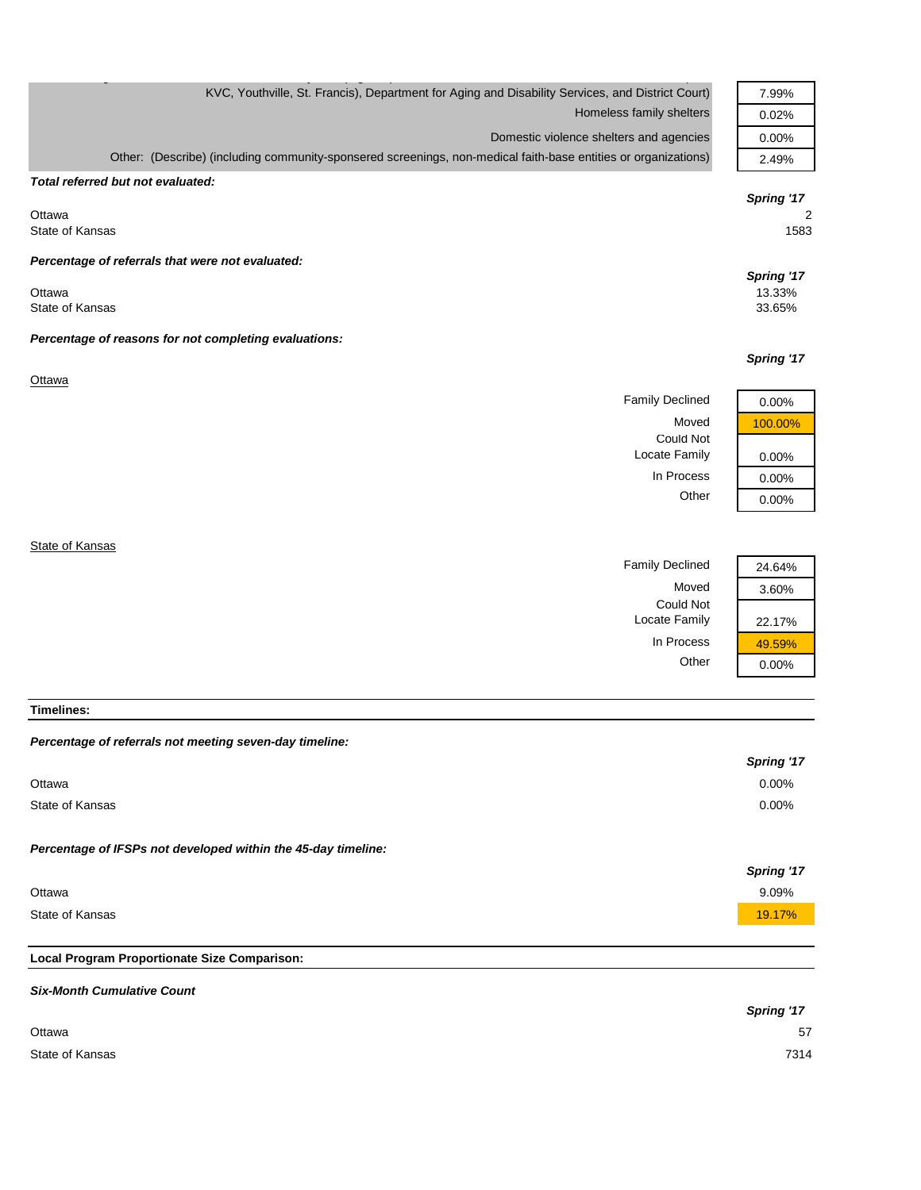| KVC, Youthville, St. Francis), Department for Aging and Disability Services, and District Court)               | 7.99%      |
|----------------------------------------------------------------------------------------------------------------|------------|
| Homeless family shelters                                                                                       | 0.02%      |
| Domestic violence shelters and agencies                                                                        | 0.00%      |
| Other: (Describe) (including community-sponsered screenings, non-medical faith-base entities or organizations) | 2.49%      |
| Total referred but not evaluated:                                                                              |            |
|                                                                                                                | Spring '17 |
| Ottawa                                                                                                         | 2          |
| State of Kansas                                                                                                | 1583       |
| Percentage of referrals that were not evaluated:                                                               |            |
|                                                                                                                | Spring '17 |
| Ottawa                                                                                                         | 13.33%     |
| State of Kansas                                                                                                | 33.65%     |
| Percentage of reasons for not completing evaluations:                                                          |            |
|                                                                                                                | Spring '17 |
| Ottawa                                                                                                         |            |
| <b>Family Declined</b>                                                                                         | 0.00%      |
| Moved                                                                                                          | 100.00%    |
| <b>Could Not</b>                                                                                               |            |
| Locate Family                                                                                                  | 0.00%      |
| In Process                                                                                                     | 0.00%      |
| Other                                                                                                          | 0.00%      |
|                                                                                                                |            |
| State of Kansas                                                                                                |            |
| <b>Family Declined</b>                                                                                         | 24.64%     |
| Moved                                                                                                          |            |
|                                                                                                                | 3.60%      |

**Timelines:**

| Percentage of referrals not meeting seven-day timeline:       |            |
|---------------------------------------------------------------|------------|
|                                                               | Spring '17 |
| Ottawa                                                        | $0.00\%$   |
| State of Kansas                                               | $0.00\%$   |
| Percentage of IFSPs not developed within the 45-day timeline: |            |
|                                                               | Spring '17 |
| Ottawa                                                        | 9.09%      |
| State of Kansas                                               | 19.17%     |
|                                                               |            |
| Local Program Proportionate Size Comparison:                  |            |

Could Not

Locate Family 22.17%

In Process  $\frac{49.59\%}{0.00\%}$ 

 $0.00%$ 

# *Six-Month Cumulative Count Spring '17* Ottawa 57 State of Kansas 7314